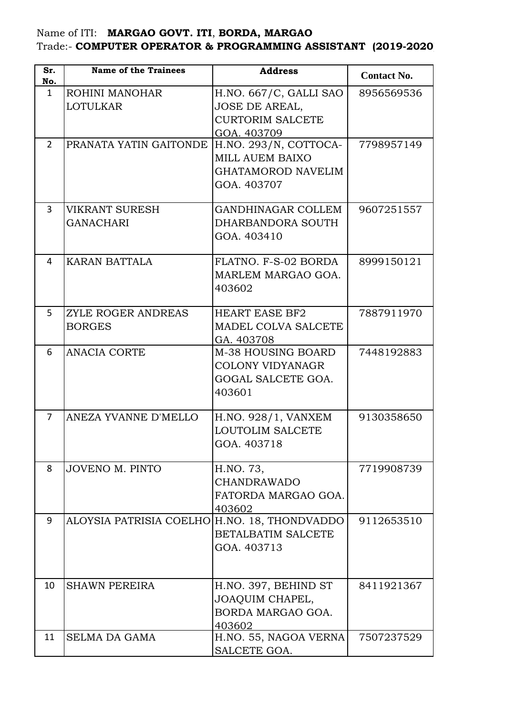## Name of ITI: **MARGAO GOVT. ITI**, **BORDA, MARGAO**  Trade:- **COMPUTER OPERATOR & PROGRAMMING ASSISTANT (2019-2020)**

| Sr.<br>No.     | <b>Name of the Trainees</b>                  | <b>Address</b>                                                                              | <b>Contact No.</b> |
|----------------|----------------------------------------------|---------------------------------------------------------------------------------------------|--------------------|
| $\mathbf{1}$   | ROHINI MANOHAR<br><b>LOTULKAR</b>            | H.NO. 667/C, GALLI SAO<br><b>JOSE DE AREAL,</b><br><b>CURTORIM SALCETE</b><br>GOA. 403709   | 8956569536         |
| $\overline{2}$ | PRANATA YATIN GAITONDE                       | H.NO. 293/N, COTTOCA-<br><b>MILL AUEM BAIXO</b><br><b>GHATAMOROD NAVELIM</b><br>GOA. 403707 | 7798957149         |
| 3              | <b>VIKRANT SURESH</b><br><b>GANACHARI</b>    | <b>GANDHINAGAR COLLEM</b><br>DHARBANDORA SOUTH<br>GOA. 403410                               | 9607251557         |
| 4              | <b>KARAN BATTALA</b>                         | FLATNO. F-S-02 BORDA<br>MARLEM MARGAO GOA.<br>403602                                        | 8999150121         |
| 5              | ZYLE ROGER ANDREAS<br><b>BORGES</b>          | <b>HEART EASE BF2</b><br>MADEL COLVA SALCETE<br>GA. 403708                                  | 7887911970         |
| 6              | <b>ANACIA CORTE</b>                          | M-38 HOUSING BOARD<br><b>COLONY VIDYANAGR</b><br>GOGAL SALCETE GOA.<br>403601               | 7448192883         |
| 7              | ANEZA YVANNE D'MELLO                         | H.NO. 928/1, VANXEM<br><b>LOUTOLIM SALCETE</b><br>GOA. 403718                               | 9130358650         |
| 8              | JOVENO M. PINTO                              | H.NO. 73,<br><b>CHANDRAWADO</b><br>FATORDA MARGAO GOA.<br>403602                            | 7719908739         |
| 9              | ALOYSIA PATRISIA COELHO H.NO. 18, THONDVADDO | <b>BETALBATIM SALCETE</b><br>GOA. 403713                                                    | 9112653510         |
| 10             | <b>SHAWN PEREIRA</b>                         | H.NO. 397, BEHIND ST<br>JOAQUIM CHAPEL,<br>BORDA MARGAO GOA.<br>403602                      | 8411921367         |
| 11             | <b>SELMA DA GAMA</b>                         | H.NO. 55, NAGOA VERNA<br>SALCETE GOA.                                                       | 7507237529         |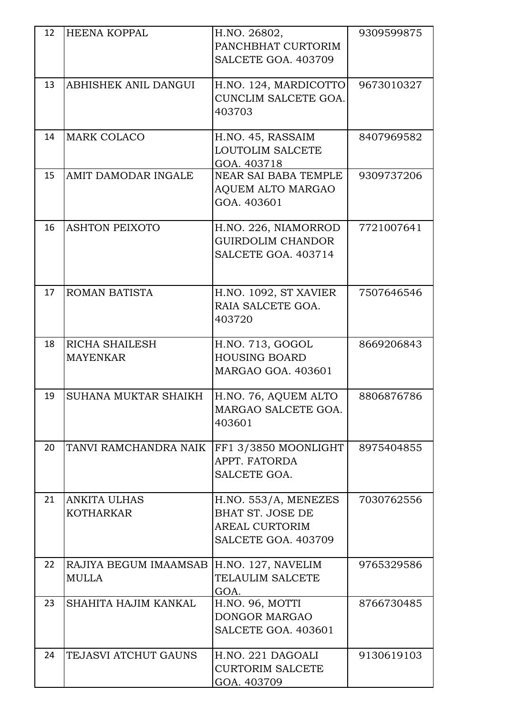| 12 | HEENA KOPPAL                            | H.NO. 26802,<br>PANCHBHAT CURTORIM                                                              | 9309599875 |
|----|-----------------------------------------|-------------------------------------------------------------------------------------------------|------------|
|    |                                         | SALCETE GOA. 403709                                                                             |            |
| 13 | ABHISHEK ANIL DANGUI                    | H.NO. 124, MARDICOTTO<br>CUNCLIM SALCETE GOA.<br>403703                                         | 9673010327 |
| 14 | <b>MARK COLACO</b>                      | H.NO. 45, RASSAIM<br>LOUTOLIM SALCETE<br>GOA. 403718                                            | 8407969582 |
| 15 | AMIT DAMODAR INGALE                     | <b>NEAR SAI BABA TEMPLE</b><br>AQUEM ALTO MARGAO<br>GOA. 403601                                 | 9309737206 |
| 16 | <b>ASHTON PEIXOTO</b>                   | H.NO. 226, NIAMORROD<br><b>GUIRDOLIM CHANDOR</b><br>SALCETE GOA. 403714                         | 7721007641 |
| 17 | <b>ROMAN BATISTA</b>                    | H.NO. 1092, ST XAVIER<br>RAIA SALCETE GOA.<br>403720                                            | 7507646546 |
| 18 | RICHA SHAILESH<br><b>MAYENKAR</b>       | H.NO. 713, GOGOL<br><b>HOUSING BOARD</b><br><b>MARGAO GOA. 403601</b>                           | 8669206843 |
| 19 | <b>SUHANA MUKTAR SHAIKH</b>             | H.NO. 76, AQUEM ALTO<br>MARGAO SALCETE GOA.<br>403601                                           | 8806876786 |
| 20 | TANVI RAMCHANDRA NAIK                   | FF1 3/3850 MOONLIGHT<br>APPT. FATORDA<br>SALCETE GOA.                                           | 8975404855 |
| 21 | <b>ANKITA ULHAS</b><br><b>KOTHARKAR</b> | H.NO. 553/A, MENEZES<br><b>BHAT ST. JOSE DE</b><br><b>AREAL CURTORIM</b><br>SALCETE GOA. 403709 | 7030762556 |
| 22 | RAJIYA BEGUM IMAAMSAB<br><b>MULLA</b>   | H.NO. 127, NAVELIM<br>TELAULIM SALCETE<br>GOA.                                                  | 9765329586 |
| 23 | SHAHITA HAJIM KANKAL                    | H.NO. 96, MOTTI<br><b>DONGOR MARGAO</b><br>SALCETE GOA. 403601                                  | 8766730485 |
| 24 | TEJASVI ATCHUT GAUNS                    | H.NO. 221 DAGOALI<br><b>CURTORIM SALCETE</b><br>GOA. 403709                                     | 9130619103 |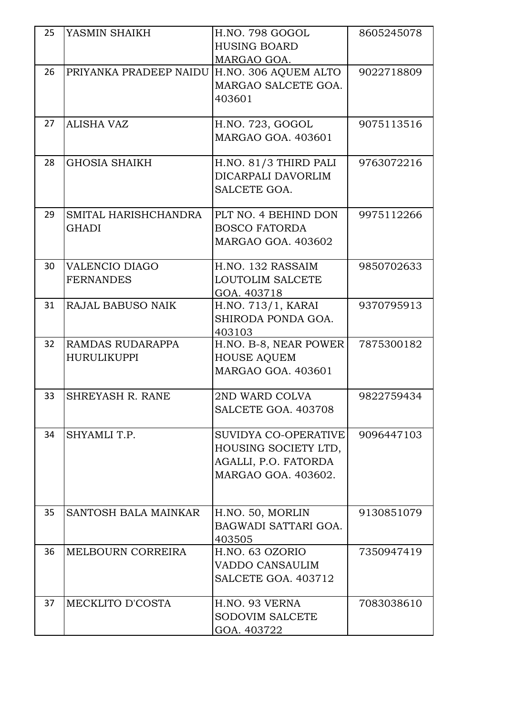| 25 | YASMIN SHAIKH                          | H.NO. 798 GOGOL<br><b>HUSING BOARD</b><br>MARGAO GOA.                                       | 8605245078 |
|----|----------------------------------------|---------------------------------------------------------------------------------------------|------------|
| 26 | PRIYANKA PRADEEP NAIDU                 | H.NO. 306 AQUEM ALTO<br>MARGAO SALCETE GOA.<br>403601                                       | 9022718809 |
| 27 | <b>ALISHA VAZ</b>                      | H.NO. 723, GOGOL<br><b>MARGAO GOA. 403601</b>                                               | 9075113516 |
| 28 | <b>GHOSIA SHAIKH</b>                   | H.NO. 81/3 THIRD PALI<br>DICARPALI DAVORLIM<br>SALCETE GOA.                                 | 9763072216 |
| 29 | SMITAL HARISHCHANDRA<br><b>GHADI</b>   | PLT NO. 4 BEHIND DON<br><b>BOSCO FATORDA</b><br><b>MARGAO GOA. 403602</b>                   | 9975112266 |
| 30 | VALENCIO DIAGO<br><b>FERNANDES</b>     | H.NO. 132 RASSAIM<br>LOUTOLIM SALCETE<br>GOA. 403718                                        | 9850702633 |
| 31 | <b>RAJAL BABUSO NAIK</b>               | H.NO. 713/1, KARAI<br>SHIRODA PONDA GOA.<br>403103                                          | 9370795913 |
| 32 | RAMDAS RUDARAPPA<br><b>HURULIKUPPI</b> | H.NO. B-8, NEAR POWER<br><b>HOUSE AQUEM</b><br><b>MARGAO GOA. 403601</b>                    | 7875300182 |
| 33 | SHREYASH R. RANE                       | 2ND WARD COLVA<br>SALCETE GOA. 403708                                                       | 9822759434 |
| 34 | SHYAMLI T.P.                           | SUVIDYA CO-OPERATIVE<br>HOUSING SOCIETY LTD,<br>AGALLI, P.O. FATORDA<br>MARGAO GOA. 403602. | 9096447103 |
| 35 | SANTOSH BALA MAINKAR                   | H.NO. 50, MORLIN<br>BAGWADI SATTARI GOA.<br>403505                                          | 9130851079 |
| 36 | MELBOURN CORREIRA                      | H.NO. 63 OZORIO<br>VADDO CANSAULIM<br>SALCETE GOA. 403712                                   | 7350947419 |
| 37 | MECKLITO D'COSTA                       | H.NO. 93 VERNA<br><b>SODOVIM SALCETE</b><br>GOA. 403722                                     | 7083038610 |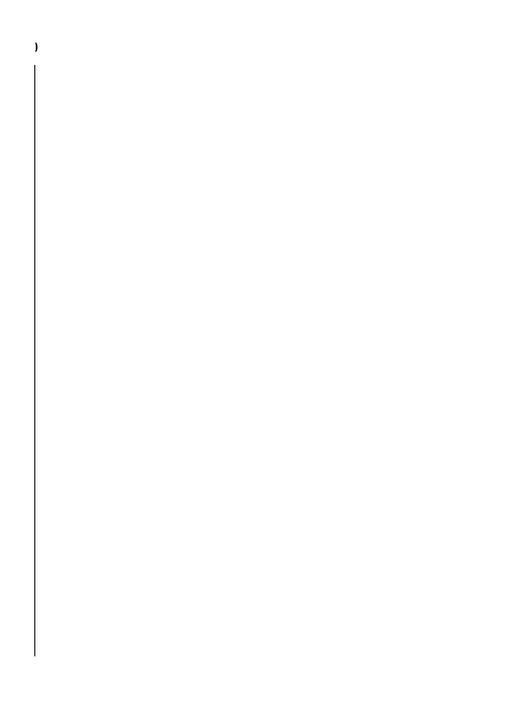$\overline{\phantom{a}}$